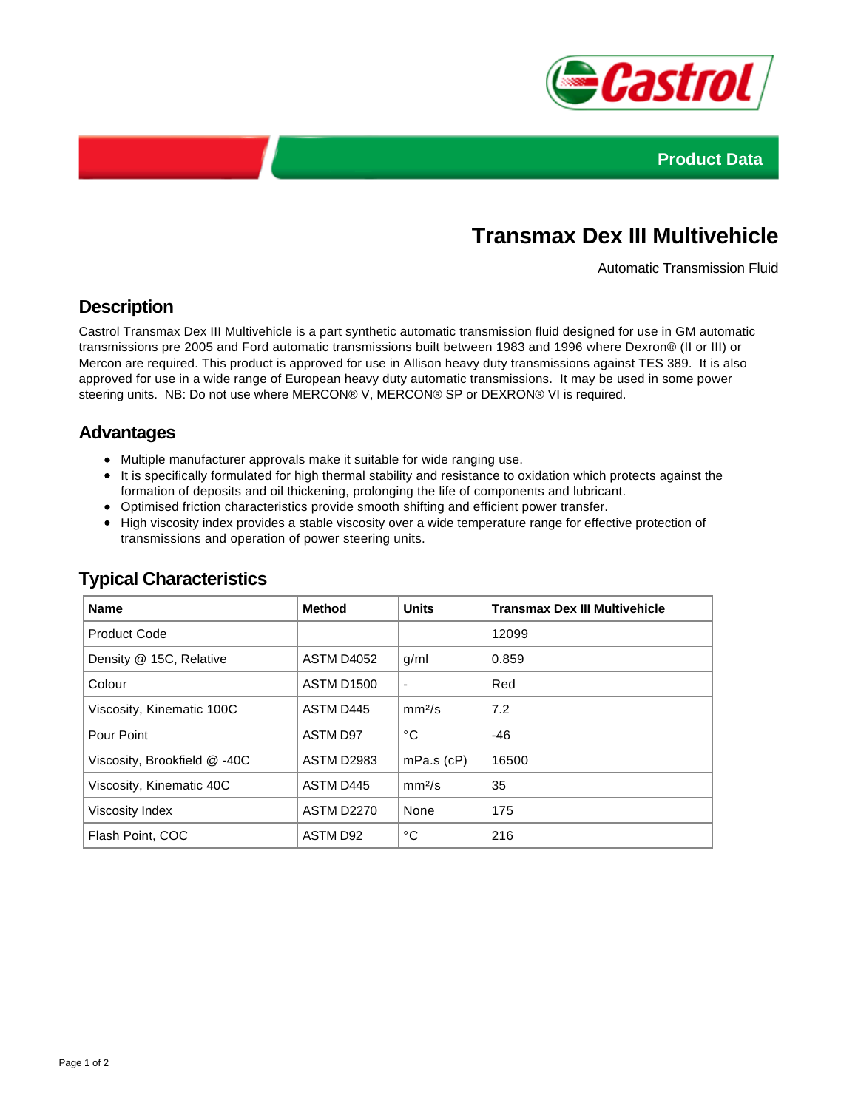



# **Transmax Dex III Multivehicle**

Automatic Transmission Fluid

## **Description**

Castrol Transmax Dex III Multivehicle is a part synthetic automatic transmission fluid designed for use in GM automatic transmissions pre 2005 and Ford automatic transmissions built between 1983 and 1996 where Dexron® (II or III) or Mercon are required. This product is approved for use in Allison heavy duty transmissions against TES 389. It is also approved for use in a wide range of European heavy duty automatic transmissions. It may be used in some power steering units. NB: Do not use where MERCON® V, MERCON® SP or DEXRON® VI is required.

### **Advantages**

- Multiple manufacturer approvals make it suitable for wide ranging use.
- It is specifically formulated for high thermal stability and resistance to oxidation which protects against the formation of deposits and oil thickening, prolonging the life of components and lubricant.
- Optimised friction characteristics provide smooth shifting and efficient power transfer.
- High viscosity index provides a stable viscosity over a wide temperature range for effective protection of transmissions and operation of power steering units.

| <b>Name</b>                  | <b>Method</b>     | <b>Units</b>             | <b>Transmax Dex III Multivehicle</b> |
|------------------------------|-------------------|--------------------------|--------------------------------------|
| <b>Product Code</b>          |                   |                          | 12099                                |
| Density @ 15C, Relative      | ASTM D4052        | g/ml                     | 0.859                                |
| Colour                       | <b>ASTM D1500</b> | $\overline{\phantom{a}}$ | Red                                  |
| Viscosity, Kinematic 100C    | ASTM D445         | mm <sup>2</sup> /s       | 7.2                                  |
| Pour Point                   | <b>ASTM D97</b>   | °C                       | $-46$                                |
| Viscosity, Brookfield @ -40C | <b>ASTM D2983</b> | $mPa.s$ ( $cP$ )         | 16500                                |
| Viscosity, Kinematic 40C     | ASTM D445         | mm <sup>2</sup> /s       | 35                                   |
| Viscosity Index              | <b>ASTM D2270</b> | None                     | 175                                  |
| Flash Point, COC             | ASTM D92          | °C                       | 216                                  |

#### **Typical Characteristics**